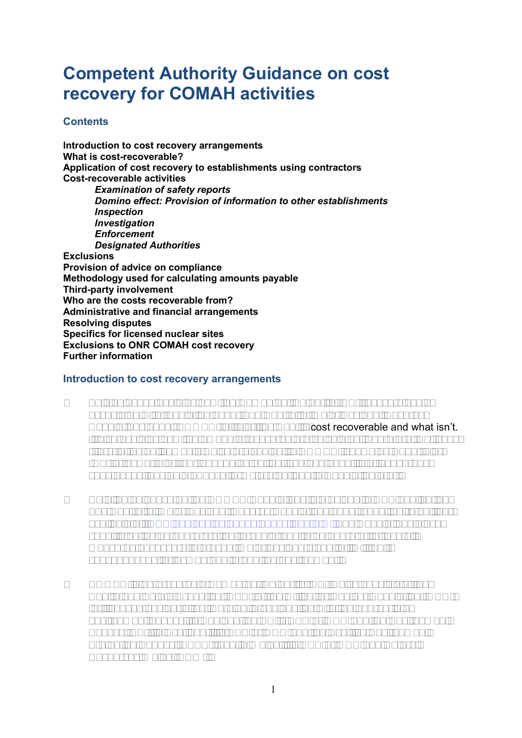# **Competent Authority Guidance on cost recovery for COMAH activities**

# **Contents**

**Introduction to cost recovery arrangements What is cost-recoverable? Application of cost recovery to establishments using contractors Cost-recoverable activities**  *Examination of safety reports Domino effect: Provision of information to other establishments Inspection Investigation Enforcement Designated Authorities* **Exclusions Provision of advice on compliance Methodology used for calculating amounts payable Third-party involvement Who are the costs recoverable from? Administrative and financial arrangements Resolving disputes Specifics for licensed nuclear sites Exclusions to ONR COMAH cost recovery Further information** 

# **Introduction to cost recovery arrangements**

- 1 This guidance explains how the Competent Authority (CA) recovers costs associated with regulation under The Control of Major Accident Hazards Regulations 2015 (COMAH). It clarifies what is cost recoverable and what isn't. It also explains how the amounts recovered are calculated. There are two types (tiers) of establishments which are subject to COMAH, known as Upper Tier (UT) or Lower Tier (LT) depending on the type and quantity of dangerous substances they hold. These terms are defined in Regulation 2(1).
- 2 Detailed guidance on the COMAH Regulations is provided in HSE publication The Control of Major Accident Hazards Regulations 2015 (L111, Third edition) available at: [www.hse.gov.uk/pubns/books/l111.htm.](http://www.hse.gov.uk/pubns/books/l111.htm) The Regulations place specific duties on operators, but broadly require an operator to take all measures necessary to prevent major accidents and to limit their consequences for human health and the environment.
- 3 COMAH is enforced by a Competent Authority (CA) which consists of the Health and Safety Executive (HSE) or the Office for Nuclear Regulation (ONR) for licensed nuclear sites, working in conjunction with the appropriate environment agency. In England the CA is HSE or ONR and the Environment Agency (EA); in Scotland it is HSE or ONR and the Scottish Environment Protection Agency (SEPA); and in Wales it is HSE or ONR and Natural Resources Wales (NRW).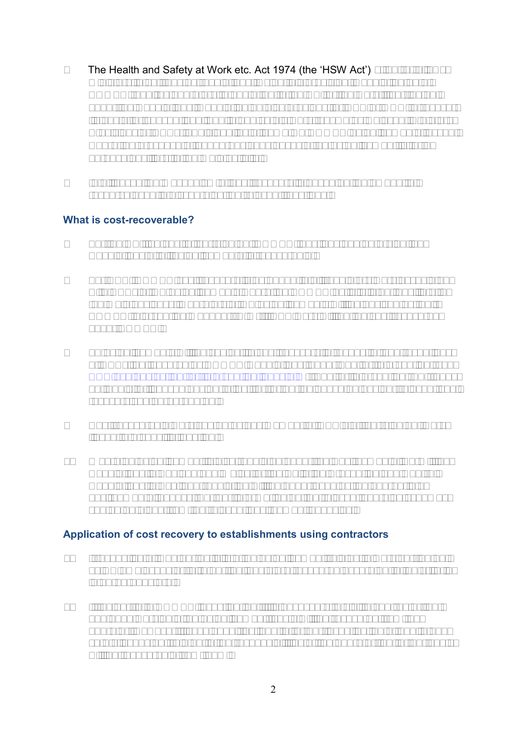- 4 The Health and Safety at Work etc. Act 1974 (the 'HSW Act') s. 43 (2) allows ministers to set fees by regulations. Using this provision, Regulation 28 of COMAH requires operators to pay a fee to the CA for the work it carries out under the Regulations. Regulation 28 also provides for HSE or ONR to recover its costs for conventional health and safety work (known as Relevant Statutory Provisions or RSPs). This applies at some UT COMAH establishments, except where the presence of dangerous substances at an establishment is for a purpose ancillary to the main activity.
- 5 In all cases the mechanism of cost recovery is based on the amount of resource used in discharging the relevant functions.

#### **What is cost-recoverable?**

- 6 For the CA, the cost of carrying out COMAH functions and enforcing the Regulations at all establishments is recoverable.
- 7 For HSE, COMAH cost recovery is extended to all regulatory work associated with RSPs at UT establishments where the COMAH activity is not ancillary to the main business. Operators of UT establishments will be advised by their COMAH Intervention Manager (CIM) if RSP work will not be cost recovered under COMAH.
- 8 LT establishments will be subject to cost recovery in respect of contraventions of RSPs, not covered by COMAH Regulations, under Fee for Intervention (see [www.hse.gov.uk/fee-for-intervention/index.htm\)](http://www.hse.gov.uk/fee-for-intervention/index.htm). Fee for intervention (FFI) does not apply to licensed nuclear sites; for further guidance on nuclear relevant cost recovery see paragraph 40.
- 9 Cost recoverable work can be by any member of HSE staff carrying out work linked to a specific function.
- 10 Where an establishment is also regulated under the Environmental Permitting Regulations in England and Wales, or the Pollution Prevention and Control Regulations in Scotland regulation will be undertaken by the appropriate environmental agency. Further information on the relevant charging schemes can be obtained from the relevant environment agencies.

# **Application of cost recovery to establishments using contractors**

- 11 Irrespective of whether activity at an establishment relates to work carried out by CA employees or third parties, costs are recovered according to the criteria in paragraphs 6-9.
- 12 If, as part of a COMAH investigation, it is necessary to visit a contractor that had been working at an establishment, costs will be recovered from the operator. However if such enquiries lead to further investigation of health and safety issues not related to the responsibilities of the operator, no further costs will be recoverable from them.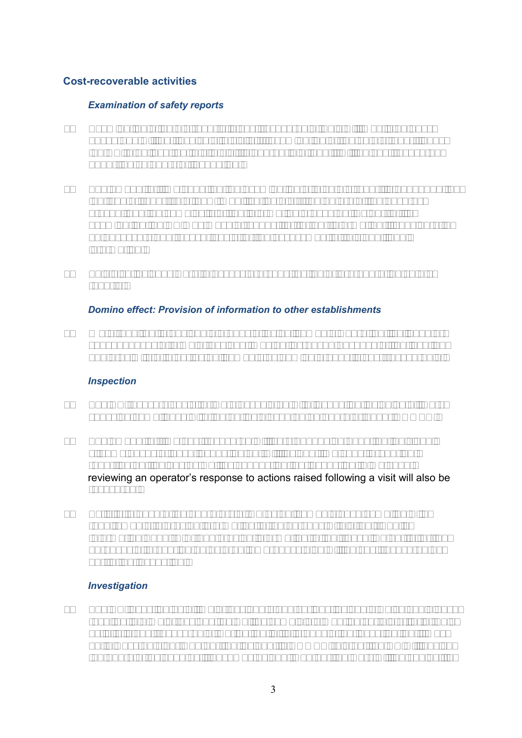# **Cost-recoverable activities**

#### *Examination of safety reports*

- 13 Examination of safety reports is cost recoverable. This will mostly be desk based and will not involve site visits. If examination of the safety report leads the CA to believe that a site visit is appropriate then it will be cost recovered under the category of inspection.
- 14 The amount of time spent on the examination of a safety report is dependent on the type of report (e.g. new, modification etc.), the nature of the hazards present and the complexity of the information presented. As part of its examination the CA may make a request for further information it considers to be necessary and recover costs for the assessment of this additional information.
- 15 This also includes work to assess pre-construction or pre-operation safety reports.

#### *Domino effect: Provision of information to other establishments*

16 Work required to designate groups of establishments where the likelihood or consequences of a major accident may be increased because of the location and proximity of other establishments as domino groups is cost-recoverable.

#### *Inspection*

- 17 The CA recovers costs for work associated with inspection including all work checking compliance with the duties placed on an operator under COMAH.
- 18 The amount of time cost recovered will vary depending upon the individual circumstances of each inspection but will include time spent preparing, reporting on findings as well as conducting the inspection. Time spent reviewing an operator's response to actions raised following a visit will also be recovered.
- 19 Activity to ensure the operators of UT establishments have complied with requirements to provide information to the persons within their Public Information Zone (PIZ) and provide information to their Local Authority for the purposes of preparing an external emergency plan will be cost recovered as part of an inspection.

#### *Investigation*

20 The CA investigates all major accidents and serious incidents which could have resulted in a major accident as well as complaints meeting certain criteria. This activity is cost recoverable. During the initial stages of an investigation it may not always be clear whether the incident is COMAH related, the CA will advise the operator as soon as it becomes evident whether the work will be subject to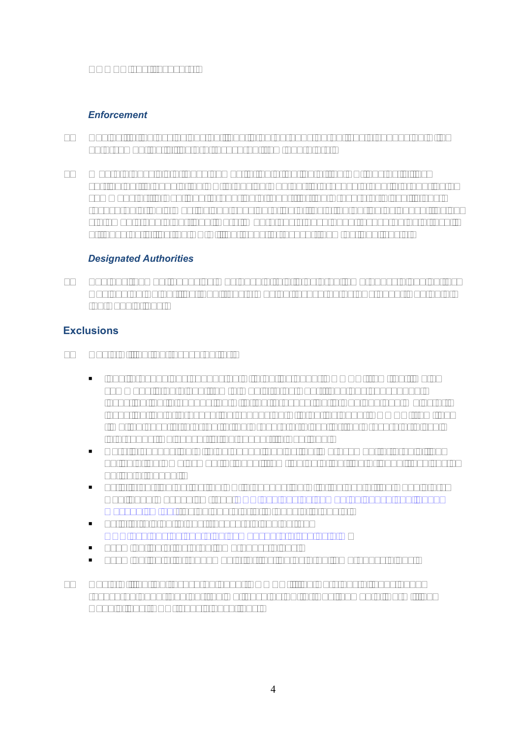COMAH cost recovery.

# *Enforcement*

- 21 Subject to the exclusions outlined in paragraphs 22-24, costs connected with enforcement activities are recovered from operators.
- 22 Where a possible offence comes to the attention of the CA, any activities carried out to enable the CA to decide whether to prosecute and in preparing a summons or, in Scotland, preparing a report for the Procurator Fiscal is costrecoverable. This may include consideration of facts, gathering evidence, taking statements and other legal work. Where costs have been recovered as a result of these activities the CA will not seek to recover them as legal costs.

# *Designated Authorities*

23 The environment agencies may have a role in external emergency planning, as Designated Authorities. Their costs may be recovered by LAs under Reg 29 of the Regulations.

# **Exclusions**

- 24 Costs will not be recovered for:
	- legal proceedings connected with duties under COMAH from the time a summons is obtained from a Magistrates Court, and any subsequent investigation in connection with that prosecution in England and Wales or; investigation or prosecution connected with duties under COMAH from the time the case is referred to the Procurator Fiscal or the Procurator Fiscal intervenes, whichever is the sooner, in Scotland;
	- work in connection with an appeal against an improvement or prohibition notice at an Employment Tribunal from the date that the Tribunal receives a notice of appeal;
	- activity carried out by the CA in connection with the use of the Regulatory Challenge Mechanism (see [www.hse.gov.uk/comah/guidance/challenge](http://www.hse.gov.uk/comah/guidance/challenge-mechanism.pdf)[mechanism.pdf\)](http://www.hse.gov.uk/comah/guidance/challenge-mechanism.pdf) by an operator at Stages 1, 2 and 3;
	- activity related to cost-recovery disputes (see [www.hse.gov.uk/charging/comahcharg/disputes.htm\)](http://www.hse.gov.uk/charging/comahcharg/disputes.htm)
	- examination of external emergency plans;
	- examination of arrangements for testing external emergency plans;
- 25 Costs will not be recovered under COMAH if the work has already been recovered under another regime, such as FFI or Environmental Permitting Regulations (EPR) subsistence fees.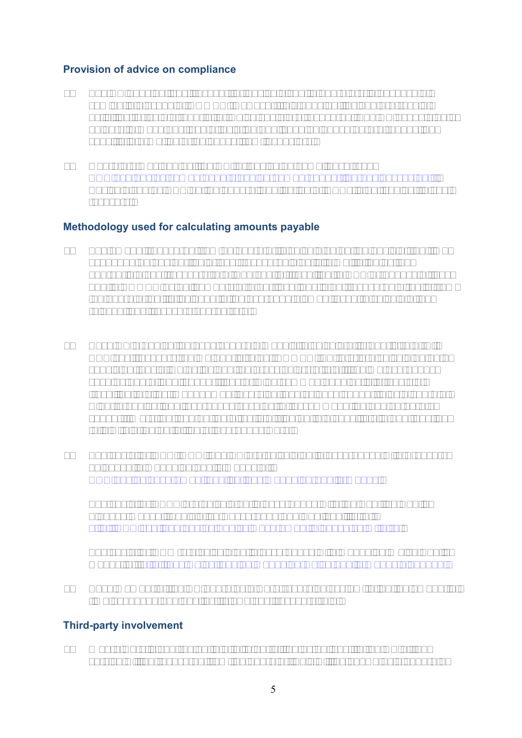# **Provision of advice on compliance**

- 26 The CA does not cost recover for advice given to operators in advance of coming into scope of COMAH. However, this does not include pre-receipt activities for safety reports for which costs are recovered. The CA expects duty holders to make best use of existing published guidance before requesting specific information or guidance from inspectors.
- 27 Operators may contact the CA for advice on compliance (see [www.hse.gov.uk/comah/understanding-comah-supporting-businesses.pdf\).](http://www.hse.gov.uk/comah/understanding-comah-supporting-businesses.pdf) Advice given by HSE on the general application of RSPs is not subject to cost recovery.

# **Methodology used for calculating amounts payable**

- 28 The amount recovered from an operator is calculated on the basis of the time expended on any particular cost-recoverable activity multiplied by the appropriate cost recovery rate. The cost of travelling to HSE or agency offices and to COMAH establishments or other locations is not recovered directly from the operator but is included in the overhead element used to calculate the relevant cost recovery charge rate.
- 29 Each CA organisation uses separate models to calculate its hourly rate. All HSE cost recovery regime hourly rates (COMAH, FFI etc) are calculated on a consistent basis. Rates include the gross salary of staff, regime overheads such as operational support, sector wide common good activity, costs of travelling to sites, management oversight and science support plus a share of wider organisational overheads such as IT, accommodation and corporate support. Work that can not be directly attributed to a specific site and function falls within the definition of overheads work.
- 30 The costs for HSE, ONR, and EA are calculated in accordance with Treasury guidance in Managing public money at: [www.gov.uk/government/publications/managing-public-money.](http://www.gov.uk/government/publications/managing-public-money)

The costs for SEPA are calculated in accordance with the Scottish Public Finance Manual: Legislative Background and Applicability, at: [http://www.scotland.gov.uk/Topics/Government/Finance/spfm/Intro.](http://www.scotland.gov.uk/Topics/Government/Finance/spfm/Intro)

The costs for NRW are calculated in accordance with Managing Welsh Public Money, at: [http://gov.wales/funding/managing-welsh-public-money/?lang=en.](http://gov.wales/funding/managing-welsh-public-money/?lang=en)

31 Each member of the CA operates a work-recording system to log the amount of time expended and applies its own cost recovery rate.

# **Third-party involvement**

32 Where work is contracted to a third party, the actual cost to the CA of the service will be recovered from the operator. This will be shown as a separate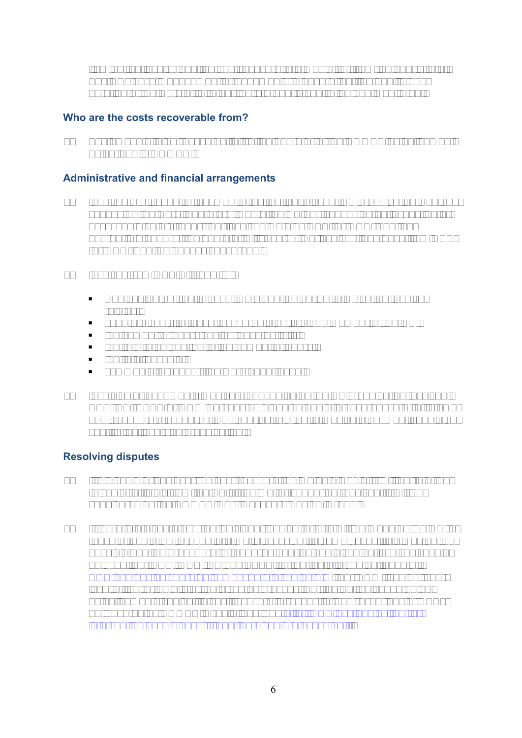item on the invoice and the cost recovery rate may differ from the hourly rate. The CAs have management arrangements to ensure that the quality and duration of the work of third parties is properly controlled and monitored.

# **Who are the costs recoverable from?**

33 The amounts to be recovered fall to the operator of the COMAH establishment as defined in COMAH.

# **Administrative and financial arrangements**

- 34 Invoices are issued for payment direct by the relevant CA organisation who has conducted the work. Therefore, where the CA has conducted an inspection or assessed a safety report that involved work by HSE (or ONR) and the appropriate agency, the operator will receive two invoices, one each from HSE (or ONR) and the agency concerned.
- 35 Invoices from HSE will identify:
	- who carried out the relevant work and the period to which the invoice relates;
	- separate costs for each recoverable activity and member of the CA;
	- the number of hours against each activity;
	- the rate to be applied to the number of hours;
	- the total payable;
	- comments to support the work undertaken.
- 36 Invoicing arrangements may vary depending on the CA organisation involved. HSE, EA, SEPA or NRW pursues outstanding debts in accordance with its own debt-recovery procedures. Any queries relating to making a payment should be sent to the invoicing organisation.

# **Resolving disputes**

- 37 If a dispute arises over the cost-recovery regime as a whole, it will be referred to senior officials from the CA. If the matter cannot be resolved, it will be considered by the COMAH Cost Recovery Review Group,
- 38 If there is a dispute over an individual invoice, efforts will be made by the CA to reach a resolution through informal discussion. In some cases, this may not be possible and the procedure for handling queries and disputed invoices should be used. For HSE, ONR, EA and SEPA, further details can be found at: [www.hse.gov.uk/charging/comahcharg/disputes.htm.](http://www.hse.gov.uk/charging/comahcharg/disputes.htm) For NRW, contact your local office for details of the disputes process. For the FFI guidance on LT establishments subject to cost recovery in respect of contraventions of RSPs not covered by COMAH Regulations, see [http://www.hse.gov.uk/fee-for](http://www.hse.gov.uk/fee-for-intervention/assets/docs/ffi-queries-dispute-process.pdf)[intervention/assets/docs/ffi-queries-dispute-process.pdf](http://www.hse.gov.uk/fee-for-intervention/assets/docs/ffi-queries-dispute-process.pdf) .